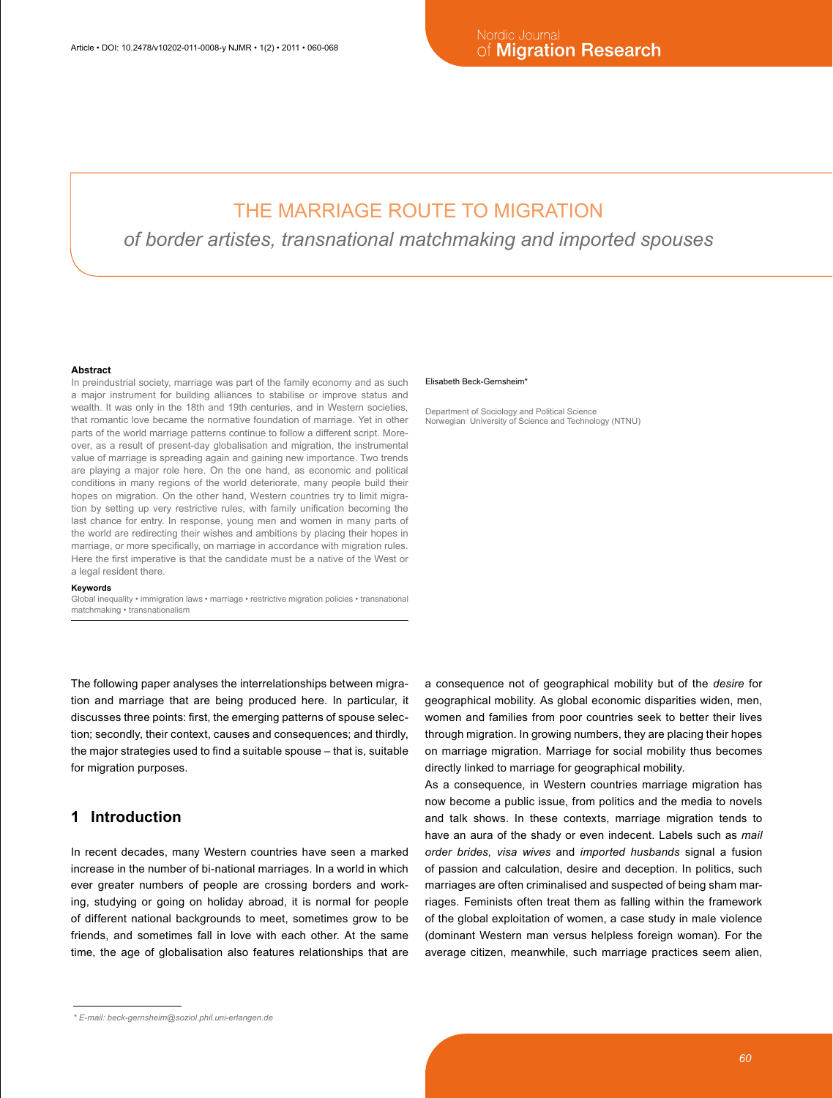# THE MARRIAGE ROUTE TO MIGRATION

*of border artistes, transnational matchmaking and imported spouses*

#### **Abstract**

In preindustrial society, marriage was part of the family economy and as such a major instrument for building alliances to stabilise or improve status and wealth. It was only in the 18th and 19th centuries, and in Western societies, that romantic love became the normative foundation of marriage. Yet in other parts of the world marriage patterns continue to follow a different script. Moreover, as a result of present-day globalisation and migration, the instrumental value of marriage is spreading again and gaining new importance. Two trends are playing a major role here. On the one hand, as economic and political conditions in many regions of the world deteriorate, many people build their hopes on migration. On the other hand, Western countries try to limit migration by setting up very restrictive rules, with family unification becoming the last chance for entry. In response, young men and women in many parts of the world are redirecting their wishes and ambitions by placing their hopes in marriage, or more specifically, on marriage in accordance with migration rules. Here the first imperative is that the candidate must be a native of the West or a legal resident there.

#### **Keywords**

Global inequality • immigration laws • marriage • restrictive migration policies • transnational matchmaking • transnationalism

The following paper analyses the interrelationships between migration and marriage that are being produced here. In particular, it discusses three points: first, the emerging patterns of spouse selection; secondly, their context, causes and consequences; and thirdly, the major strategies used to find a suitable spouse – that is, suitable for migration purposes.

### **1 Introduction**

In recent decades, many Western countries have seen a marked increase in the number of bi-national marriages. In a world in which ever greater numbers of people are crossing borders and working, studying or going on holiday abroad, it is normal for people of different national backgrounds to meet, sometimes grow to be friends, and sometimes fall in love with each other. At the same time, the age of globalisation also features relationships that are

#### Elisabeth Beck-Gernsheim\*

Department of Sociology and Political Science Norwegian University of Science and Technology (NTNU)

a consequence not of geographical mobility but of the *desire* for geographical mobility. As global economic disparities widen, men, women and families from poor countries seek to better their lives through migration. In growing numbers, they are placing their hopes on marriage migration. Marriage for social mobility thus becomes directly linked to marriage for geographical mobility.

As a consequence, in Western countries marriage migration has now become a public issue, from politics and the media to novels and talk shows. In these contexts, marriage migration tends to have an aura of the shady or even indecent. Labels such as *mail order brides, visa wives* and *imported husbands* signal a fusion of passion and calculation, desire and deception. In politics, such marriages are often criminalised and suspected of being sham marriages. Feminists often treat them as falling within the framework of the global exploitation of women, a case study in male violence (dominant Western man versus helpless foreign woman). For the average citizen, meanwhile, such marriage practices seem alien,

*<sup>\*</sup> E-mail: beck-gernsheim@soziol.phil.uni-erlangen.de*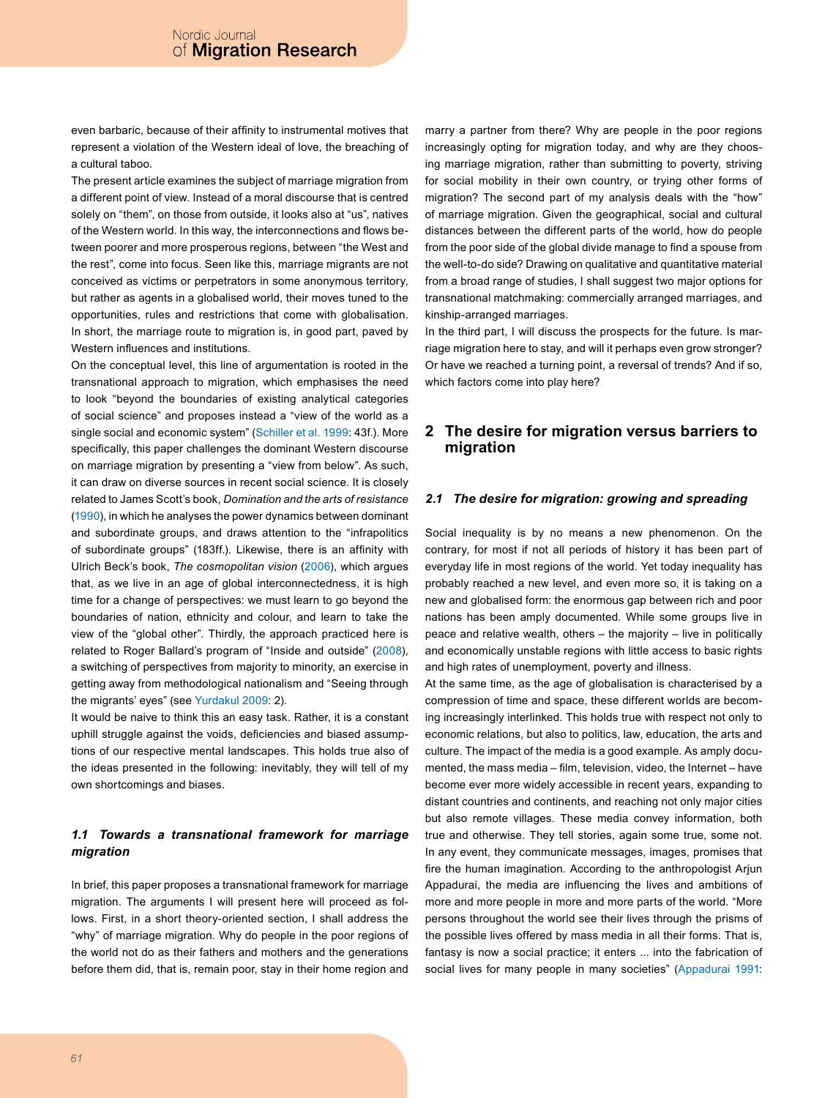even barbaric, because of their affinity to instrumental motives that represent a violation of the Western ideal of love, the breaching of a cultural taboo.

The present article examines the subject of marriage migration from a different point of view. Instead of a moral discourse that is centred solely on "them", on those from outside, it looks also at "us", natives of the Western world. In this way, the interconnections and flows between poorer and more prosperous regions, between "the West and the rest", come into focus. Seen like this, marriage migrants are not conceived as victims or perpetrators in some anonymous territory, but rather as agents in a globalised world, their moves tuned to the opportunities, rules and restrictions that come with globalisation. In short, the marriage route to migration is, in good part, paved by Western influences and institutions.

On the conceptual level, this line of argumentation is rooted in the transnational approach to migration, which emphasises the need to look "beyond the boundaries of existing analytical categories of social science" and proposes instead a "view of the world as a single social and economic system" ([Schiller et al. 1999](#page-8-0): 43f.). More specifically, this paper challenges the dominant Western discourse on marriage migration by presenting a "view from below". As such, it can draw on diverse sources in recent social science. It is closely related to James Scott's book, *Domination and the arts of resistance* [\(1990](#page-8-1)), in which he analyses the power dynamics between dominant and subordinate groups, and draws attention to the "infrapolitics of subordinate groups" (183ff.). Likewise, there is an affinity with Ulrich Beck's book, *The cosmopolitan vision* ([2006](#page-7-0)), which argues that, as we live in an age of global interconnectedness, it is high time for a change of perspectives: we must learn to go beyond the boundaries of nation, ethnicity and colour, and learn to take the view of the "global other". Thirdly, the approach practiced here is related to Roger Ballard's program of "Inside and outside" [\(2008](#page-7-1)), a switching of perspectives from majority to minority, an exercise in getting away from methodological nationalism and "Seeing through the migrants' eyes" (see [Yurdakul 2009:](#page-8-2) 2).

It would be naive to think this an easy task. Rather, it is a constant uphill struggle against the voids, deficiencies and biased assumptions of our respective mental landscapes. This holds true also of the ideas presented in the following: inevitably, they will tell of my own shortcomings and biases.

### *1.1 Towards a transnational framework for marriage migration*

In brief, this paper proposes a transnational framework for marriage migration. The arguments I will present here will proceed as follows. First, in a short theory-oriented section, I shall address the "why" of marriage migration. Why do people in the poor regions of the world not do as their fathers and mothers and the generations before them did, that is, remain poor, stay in their home region and marry a partner from there? Why are people in the poor regions increasingly opting for migration today, and why are they choosing marriage migration, rather than submitting to poverty, striving for social mobility in their own country, or trying other forms of migration? The second part of my analysis deals with the "how" of marriage migration. Given the geographical, social and cultural distances between the different parts of the world, how do people from the poor side of the global divide manage to find a spouse from the well-to-do side? Drawing on qualitative and quantitative material from a broad range of studies, I shall suggest two major options for transnational matchmaking: commercially arranged marriages, and kinship-arranged marriages.

In the third part, I will discuss the prospects for the future. Is marriage migration here to stay, and will it perhaps even grow stronger? Or have we reached a turning point, a reversal of trends? And if so, which factors come into play here?

## **2 The desire for migration versus barriers to migration**

### *2.1 The desire for migration: growing and spreading*

Social inequality is by no means a new phenomenon. On the contrary, for most if not all periods of history it has been part of everyday life in most regions of the world. Yet today inequality has probably reached a new level, and even more so, it is taking on a new and globalised form: the enormous gap between rich and poor nations has been amply documented. While some groups live in peace and relative wealth, others – the majority – live in politically and economically unstable regions with little access to basic rights and high rates of unemployment, poverty and illness.

At the same time, as the age of globalisation is characterised by a compression of time and space, these different worlds are becoming increasingly interlinked. This holds true with respect not only to economic relations, but also to politics, law, education, the arts and culture. The impact of the media is a good example. As amply documented, the mass media – film, television, video, the Internet – have become ever more widely accessible in recent years, expanding to distant countries and continents, and reaching not only major cities but also remote villages. These media convey information, both true and otherwise. They tell stories, again some true, some not. In any event, they communicate messages, images, promises that fire the human imagination. According to the anthropologist Arjun Appadurai, the media are influencing the lives and ambitions of more and more people in more and more parts of the world. "More persons throughout the world see their lives through the prisms of the possible lives offered by mass media in all their forms. That is, fantasy is now a social practice; it enters ... into the fabrication of social lives for many people in many societies" ([Appadurai 1991:](#page-7-2)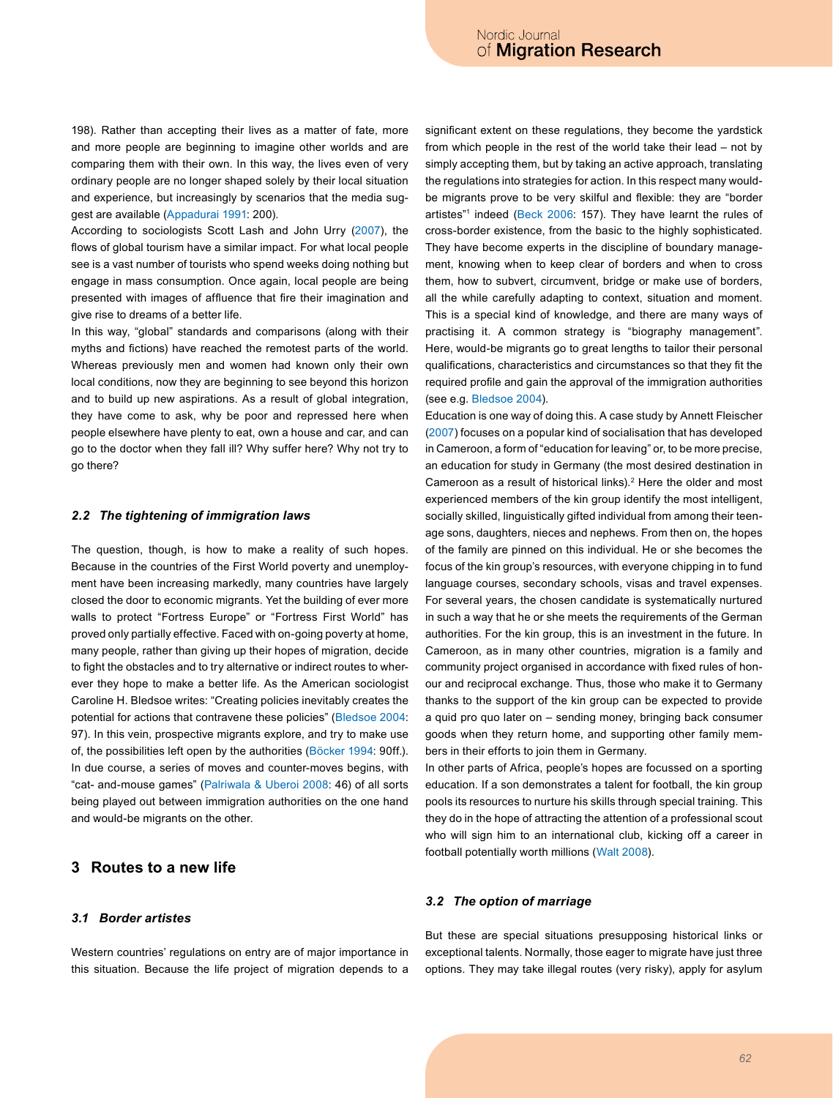198). Rather than accepting their lives as a matter of fate, more and more people are beginning to imagine other worlds and are comparing them with their own. In this way, the lives even of very ordinary people are no longer shaped solely by their local situation and experience, but increasingly by scenarios that the media suggest are available [\(Appadurai 1991](#page-7-2): 200).

According to sociologists Scott Lash and John Urry ([2007](#page-7-3)), the flows of global tourism have a similar impact. For what local people see is a vast number of tourists who spend weeks doing nothing but engage in mass consumption. Once again, local people are being presented with images of affluence that fire their imagination and give rise to dreams of a better life.

In this way, "global" standards and comparisons (along with their myths and fictions) have reached the remotest parts of the world. Whereas previously men and women had known only their own local conditions, now they are beginning to see beyond this horizon and to build up new aspirations. As a result of global integration, they have come to ask, why be poor and repressed here when people elsewhere have plenty to eat, own a house and car, and can go to the doctor when they fall ill? Why suffer here? Why not try to go there?

#### *2.2 The tightening of immigration laws*

The question, though, is how to make a reality of such hopes. Because in the countries of the First World poverty and unemployment have been increasing markedly, many countries have largely closed the door to economic migrants. Yet the building of ever more walls to protect "Fortress Europe" or "Fortress First World" has proved only partially effective. Faced with on-going poverty at home, many people, rather than giving up their hopes of migration, decide to fight the obstacles and to try alternative or indirect routes to wherever they hope to make a better life. As the American sociologist Caroline H. Bledsoe writes: "Creating policies inevitably creates the potential for actions that contravene these policies" ([Bledsoe 2004:](#page-7-4) 97). In this vein, prospective migrants explore, and try to make use of, the possibilities left open by the authorities (Böcker 1994: 90ff.). In due course, a series of moves and counter-moves begins, with "cat- and-mouse games" ([Palriwala & Uberoi 2008:](#page-7-5) 46) of all sorts being played out between immigration authorities on the one hand and would-be migrants on the other.

### **3 Routes to a new life**

#### *3.1 Border artistes*

Western countries' regulations on entry are of major importance in this situation. Because the life project of migration depends to a significant extent on these regulations, they become the yardstick from which people in the rest of the world take their lead – not by simply accepting them, but by taking an active approach, translating the regulations into strategies for action. In this respect many wouldbe migrants prove to be very skilful and flexible: they are "border artistes" indeed ([Beck 2006:](#page-7-0) 157). They have learnt the rules of cross-border existence, from the basic to the highly sophisticated. They have become experts in the discipline of boundary management, knowing when to keep clear of borders and when to cross them, how to subvert, circumvent, bridge or make use of borders, all the while carefully adapting to context, situation and moment. This is a special kind of knowledge, and there are many ways of practising it. A common strategy is "biography management". Here, would-be migrants go to great lengths to tailor their personal qualifications, characteristics and circumstances so that they fit the required profile and gain the approval of the immigration authorities (see e.g. [Bledsoe 2004](#page-7-4)).

Education is one way of doing this. A case study by Annett Fleischer ([2007\)](#page-7-7) focuses on a popular kind of socialisation that has developed in Cameroon, a form of "education for leaving" or, to be more precise, an education for study in Germany (the most desired destination in Cameroon as a result of historical links).<sup>[2](#page-7-6)</sup> Here the older and most experienced members of the kin group identify the most intelligent, socially skilled, linguistically gifted individual from among their teenage sons, daughters, nieces and nephews. From then on, the hopes of the family are pinned on this individual. He or she becomes the focus of the kin group's resources, with everyone chipping in to fund language courses, secondary schools, visas and travel expenses. For several years, the chosen candidate is systematically nurtured in such a way that he or she meets the requirements of the German authorities. For the kin group, this is an investment in the future. In Cameroon, as in many other countries, migration is a family and community project organised in accordance with fixed rules of honour and reciprocal exchange. Thus, those who make it to Germany thanks to the support of the kin group can be expected to provide a quid pro quo later on – sending money, bringing back consumer goods when they return home, and supporting other family members in their efforts to join them in Germany.

In other parts of Africa, people's hopes are focussed on a sporting education. If a son demonstrates a talent for football, the kin group pools its resources to nurture his skills through special training. This they do in the hope of attracting the attention of a professional scout who will sign him to an international club, kicking off a career in football potentially worth millions ([Walt 2008](#page-8-3)).

#### *3.2 The option of marriage*

But these are special situations presupposing historical links or exceptional talents. Normally, those eager to migrate have just three options. They may take illegal routes (very risky), apply for asylum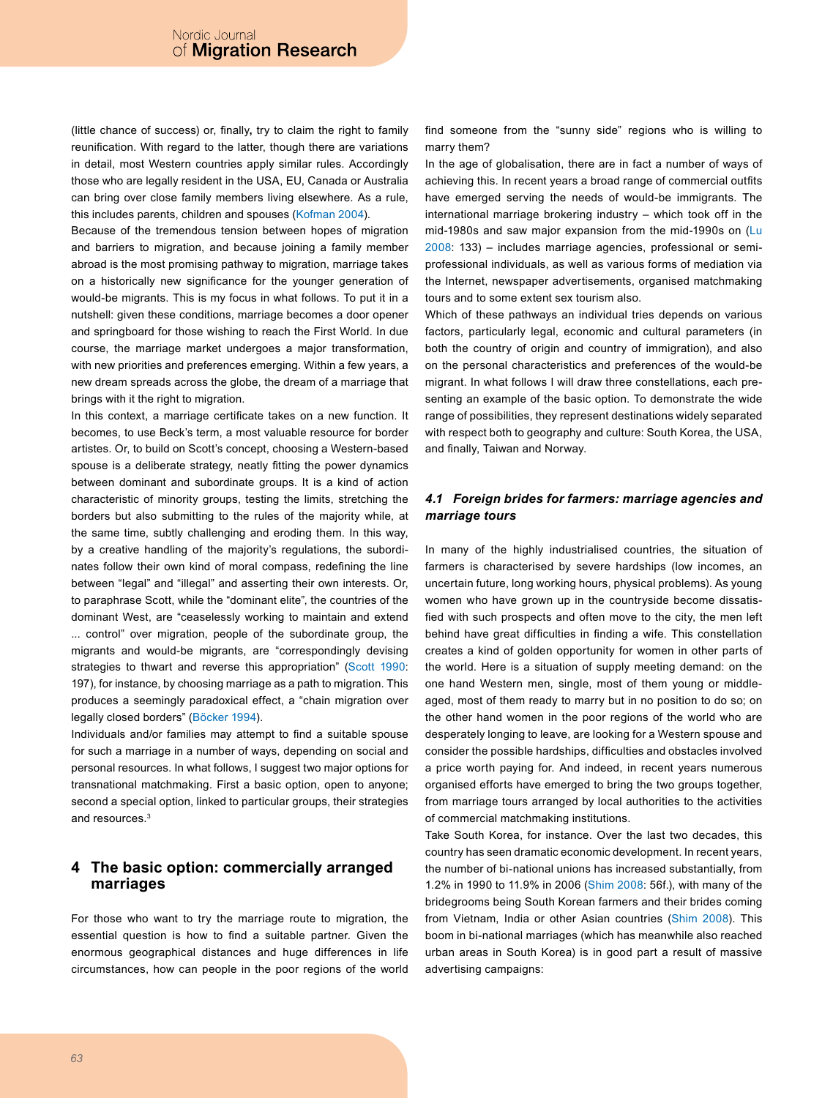(little chance of success) or, finally**,** try to claim the right to family reunification. With regard to the latter, though there are variations in detail, most Western countries apply similar rules. Accordingly those who are legally resident in the USA, EU, Canada or Australia can bring over close family members living elsewhere. As a rule, this includes parents, children and spouses ([Kofman 2004](#page-7-8)).

Because of the tremendous tension between hopes of migration and barriers to migration, and because joining a family member abroad is the most promising pathway to migration, marriage takes on a historically new significance for the younger generation of would-be migrants. This is my focus in what follows. To put it in a nutshell: given these conditions, marriage becomes a door opener and springboard for those wishing to reach the First World. In due course, the marriage market undergoes a major transformation, with new priorities and preferences emerging. Within a few years, a new dream spreads across the globe, the dream of a marriage that brings with it the right to migration.

In this context, a marriage certificate takes on a new function. It becomes, to use Beck's term, a most valuable resource for border artistes. Or, to build on Scott's concept, choosing a Western-based spouse is a deliberate strategy, neatly fitting the power dynamics between dominant and subordinate groups. It is a kind of action characteristic of minority groups, testing the limits, stretching the borders but also submitting to the rules of the majority while, at the same time, subtly challenging and eroding them. In this way, by a creative handling of the majority's regulations, the subordinates follow their own kind of moral compass, redefining the line between "legal" and "illegal" and asserting their own interests. Or, to paraphrase Scott, while the "dominant elite", the countries of the dominant West, are "ceaselessly working to maintain and extend ... control" over migration, people of the subordinate group, the migrants and would-be migrants, are "correspondingly devising strategies to thwart and reverse this appropriation" [\(Scott 1990:](#page-8-1) 197), for instance, by choosing marriage as a path to migration. This produces a seemingly paradoxical effect, a "chain migration over legally closed borders" (Böcker 1994).

Individuals and/or families may attempt to find a suitable spouse for such a marriage in a number of ways, depending on social and personal resources. In what follows, I suggest two major options for transnational matchmaking. First a basic option, open to anyone; second a special option, linked to particular groups, their strategies and resources.[3](#page-7-9)

## **4 The basic option: commercially arranged marriages**

For those who want to try the marriage route to migration, the essential question is how to find a suitable partner. Given the enormous geographical distances and huge differences in life circumstances, how can people in the poor regions of the world find someone from the "sunny side" regions who is willing to marry them?

In the age of globalisation, there are in fact a number of ways of achieving this. In recent years a broad range of commercial outfits have emerged serving the needs of would-be immigrants. The international marriage brokering industry *–* which took off in the mid-1980s and saw major expansion from the mid-1990s on [\(Lu](#page-7-10) [2008:](#page-7-10) 133) *–* includes marriage agencies, professional or semiprofessional individuals, as well as various forms of mediation via the Internet, newspaper advertisements, organised matchmaking tours and to some extent sex tourism also.

Which of these pathways an individual tries depends on various factors, particularly legal, economic and cultural parameters (in both the country of origin and country of immigration), and also on the personal characteristics and preferences of the would-be migrant. In what follows I will draw three constellations, each presenting an example of the basic option. To demonstrate the wide range of possibilities, they represent destinations widely separated with respect both to geography and culture: South Korea, the USA, and finally, Taiwan and Norway.

#### *4.1 Foreign brides for farmers: marriage agencies and marriage tours*

In many of the highly industrialised countries, the situation of farmers is characterised by severe hardships (low incomes, an uncertain future, long working hours, physical problems). As young women who have grown up in the countryside become dissatisfied with such prospects and often move to the city, the men left behind have great difficulties in finding a wife. This constellation creates a kind of golden opportunity for women in other parts of the world. Here is a situation of supply meeting demand: on the one hand Western men, single, most of them young or middleaged, most of them ready to marry but in no position to do so; on the other hand women in the poor regions of the world who are desperately longing to leave, are looking for a Western spouse and consider the possible hardships, difficulties and obstacles involved a price worth paying for. And indeed, in recent years numerous organised efforts have emerged to bring the two groups together, from marriage tours arranged by local authorities to the activities of commercial matchmaking institutions.

Take South Korea, for instance. Over the last two decades, this country has seen dramatic economic development. In recent years, the number of bi-national unions has increased substantially, from 1.2% in 1990 to 11.9% in 2006 [\(Shim 2008:](#page-8-4) 56f.), with many of the bridegrooms being South Korean farmers and their brides coming from Vietnam, India or other Asian countries [\(Shim 2008\)](#page-8-4). This boom in bi-national marriages (which has meanwhile also reached urban areas in South Korea) is in good part a result of massive advertising campaigns: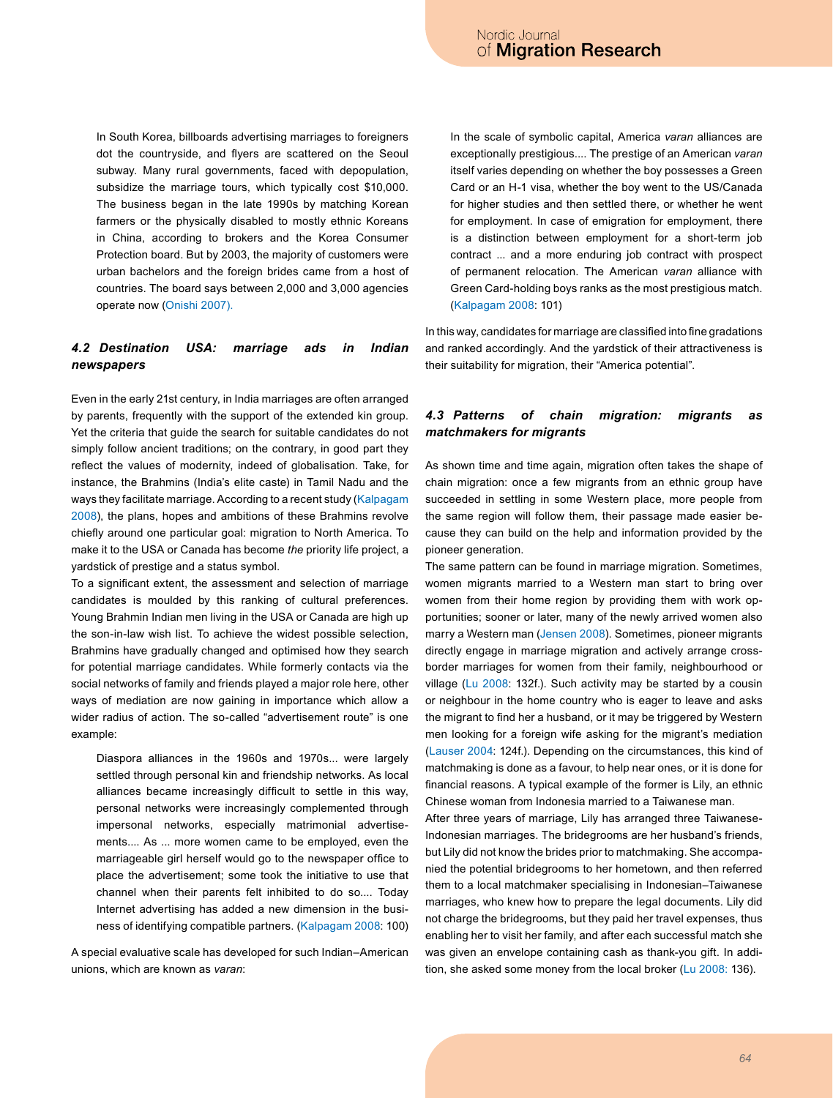In South Korea, billboards advertising marriages to foreigners dot the countryside, and flyers are scattered on the Seoul subway. Many rural governments, faced with depopulation, subsidize the marriage tours, which typically cost \$10,000. The business began in the late 1990s by matching Korean farmers or the physically disabled to mostly ethnic Koreans in China, according to brokers and the Korea Consumer Protection board. But by 2003, the majority of customers were urban bachelors and the foreign brides came from a host of countries. The board says between 2,000 and 3,000 agencies operate now [\(Onishi 2007\).](#page-7-11) 

## *4.2 Destination USA: marriage ads in Indian newspapers*

Even in the early 21st century, in India marriages are often arranged by parents, frequently with the support of the extended kin group. Yet the criteria that guide the search for suitable candidates do not simply follow ancient traditions; on the contrary, in good part they reflect the values of modernity, indeed of globalisation. Take, for instance, the Brahmins (India's elite caste) in Tamil Nadu and the ways they facilitate marriage. According to a recent study ([Kalpagam](#page-7-12) [2008](#page-7-12)), the plans, hopes and ambitions of these Brahmins revolve chiefly around one particular goal: migration to North America. To make it to the USA or Canada has become *the* priority life project, a yardstick of prestige and a status symbol.

To a significant extent, the assessment and selection of marriage candidates is moulded by this ranking of cultural preferences. Young Brahmin Indian men living in the USA or Canada are high up the son-in-law wish list. To achieve the widest possible selection, Brahmins have gradually changed and optimised how they search for potential marriage candidates. While formerly contacts via the social networks of family and friends played a major role here, other ways of mediation are now gaining in importance which allow a wider radius of action. The so-called "advertisement route" is one example:

Diaspora alliances in the 1960s and 1970s... were largely settled through personal kin and friendship networks. As local alliances became increasingly difficult to settle in this way, personal networks were increasingly complemented through impersonal networks, especially matrimonial advertisements.... As ... more women came to be employed, even the marriageable girl herself would go to the newspaper office to place the advertisement; some took the initiative to use that channel when their parents felt inhibited to do so.... Today Internet advertising has added a new dimension in the business of identifying compatible partners. ([Kalpagam 2008:](#page-7-12) 100)

A special evaluative scale has developed for such Indian–American unions, which are known as *varan*:

In the scale of symbolic capital, America *varan* alliances are exceptionally prestigious.... The prestige of an American *varan* itself varies depending on whether the boy possesses a Green Card or an H-1 visa, whether the boy went to the US/Canada for higher studies and then settled there, or whether he went for employment. In case of emigration for employment, there is a distinction between employment for a short-term job contract ... and a more enduring job contract with prospect of permanent relocation. The American *varan* alliance with Green Card-holding boys ranks as the most prestigious match. ([Kalpagam 2008](#page-7-12): 101)

In this way, candidates for marriage are classified into fine gradations and ranked accordingly. And the yardstick of their attractiveness is their suitability for migration, their "America potential".

### *4.3 Patterns of chain migration: migrants as matchmakers for migrants*

As shown time and time again, migration often takes the shape of chain migration: once a few migrants from an ethnic group have succeeded in settling in some Western place, more people from the same region will follow them, their passage made easier because they can build on the help and information provided by the pioneer generation.

The same pattern can be found in marriage migration. Sometimes, women migrants married to a Western man start to bring over women from their home region by providing them with work opportunities; sooner or later, many of the newly arrived women also marry a Western man [\(Jensen 2008\)](#page-7-13). Sometimes, pioneer migrants directly engage in marriage migration and actively arrange crossborder marriages for women from their family, neighbourhood or village [\(Lu 2008](#page-7-10): 132f.). Such activity may be started by a cousin or neighbour in the home country who is eager to leave and asks the migrant to find her a husband, or it may be triggered by Western men looking for a foreign wife asking for the migrant's mediation ([Lauser 2004:](#page-7-14) 124f.). Depending on the circumstances, this kind of matchmaking is done as a favour, to help near ones, or it is done for financial reasons. A typical example of the former is Lily, an ethnic Chinese woman from Indonesia married to a Taiwanese man.

After three years of marriage, Lily has arranged three Taiwanese-Indonesian marriages. The bridegrooms are her husband's friends, but Lily did not know the brides prior to matchmaking. She accompanied the potential bridegrooms to her hometown, and then referred them to a local matchmaker specialising in Indonesian–Taiwanese marriages, who knew how to prepare the legal documents. Lily did not charge the bridegrooms, but they paid her travel expenses, thus enabling her to visit her family, and after each successful match she was given an envelope containing cash as thank-you gift. In addition, she asked some money from the local broker ([Lu 2008:](#page-7-10) 136).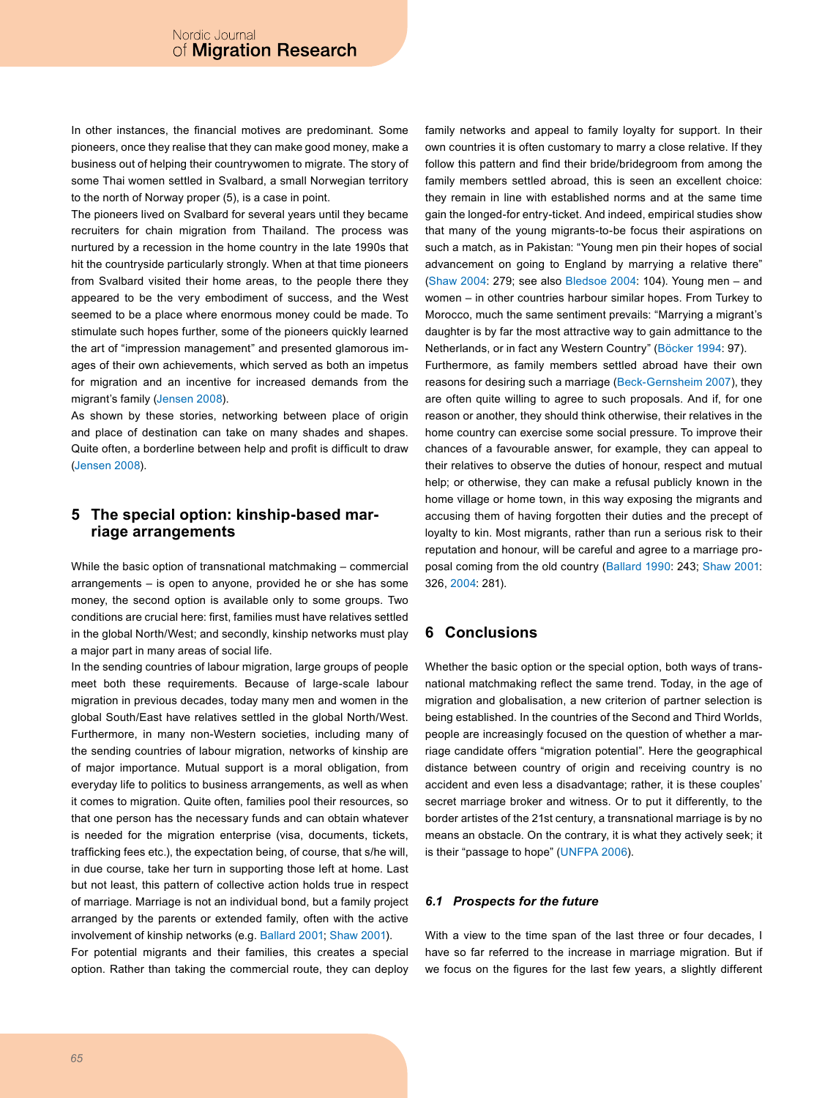In other instances, the financial motives are predominant. Some pioneers, once they realise that they can make good money, make a business out of helping their countrywomen to migrate. The story of some Thai women settled in Svalbard, a small Norwegian territory to the north of Norway proper (5), is a case in point.

The pioneers lived on Svalbard for several years until they became recruiters for chain migration from Thailand. The process was nurtured by a recession in the home country in the late 1990s that hit the countryside particularly strongly. When at that time pioneers from Svalbard visited their home areas, to the people there they appeared to be the very embodiment of success, and the West seemed to be a place where enormous money could be made. To stimulate such hopes further, some of the pioneers quickly learned the art of "impression management" and presented glamorous images of their own achievements, which served as both an impetus for migration and an incentive for increased demands from the migrant's family [\(Jensen 2008\)](#page-7-13).

As shown by these stories, networking between place of origin and place of destination can take on many shades and shapes. Quite often, a borderline between help and profit is difficult to draw [\(Jensen 2008](#page-7-13)).

## **5 The special option: kinship-based marriage arrangements**

While the basic option of transnational matchmaking – commercial arrangements – is open to anyone, provided he or she has some money, the second option is available only to some groups. Two conditions are crucial here: first, families must have relatives settled in the global North/West; and secondly, kinship networks must play a major part in many areas of social life.

In the sending countries of labour migration, large groups of people meet both these requirements. Because of large-scale labour migration in previous decades, today many men and women in the global South/East have relatives settled in the global North/West. Furthermore, in many non-Western societies, including many of the sending countries of labour migration, networks of kinship are of major importance. Mutual support is a moral obligation, from everyday life to politics to business arrangements, as well as when it comes to migration. Quite often, families pool their resources, so that one person has the necessary funds and can obtain whatever is needed for the migration enterprise (visa, documents, tickets, trafficking fees etc.), the expectation being, of course, that s/he will, in due course, take her turn in supporting those left at home. Last but not least, this pattern of collective action holds true in respect of marriage. Marriage is not an individual bond, but a family project arranged by the parents or extended family, often with the active involvement of kinship networks (e.g. [Ballard 2001](#page-7-15); [Shaw 2001\)](#page-8-5). For potential migrants and their families, this creates a special option. Rather than taking the commercial route, they can deploy

family networks and appeal to family loyalty for support. In their own countries it is often customary to marry a close relative. If they follow this pattern and find their bride/bridegroom from among the family members settled abroad, this is seen an excellent choice: they remain in line with established norms and at the same time gain the longed-for entry-ticket. And indeed, empirical studies show that many of the young migrants-to-be focus their aspirations on such a match, as in Pakistan: "Young men pin their hopes of social advancement on going to England by marrying a relative there" ([Shaw 2004:](#page-8-6) 279; see also Bledsoe 2004: 104). Young men – and women – in other countries harbour similar hopes. From Turkey to Morocco, much the same sentiment prevails: "Marrying a migrant's daughter is by far the most attractive way to gain admittance to the Netherlands, or in fact any Western Country" (Böcker 1994: 97).

Furthermore, as family members settled abroad have their own reasons for desiring such a marriage [\(Beck-Gernsheim 2007\)](#page-7-16), they are often quite willing to agree to such proposals. And if, for one reason or another, they should think otherwise, their relatives in the home country can exercise some social pressure. To improve their chances of a favourable answer, for example, they can appeal to their relatives to observe the duties of honour, respect and mutual help; or otherwise, they can make a refusal publicly known in the home village or home town, in this way exposing the migrants and accusing them of having forgotten their duties and the precept of loyalty to kin. Most migrants, rather than run a serious risk to their reputation and honour, will be careful and agree to a marriage proposal coming from the old country [\(Ballard 1990:](#page-7-15) 243; [Shaw 2001:](#page-8-5) 326, [2004](#page-8-6): 281).

## **6 Conclusions**

Whether the basic option or the special option, both ways of transnational matchmaking reflect the same trend. Today, in the age of migration and globalisation, a new criterion of partner selection is being established. In the countries of the Second and Third Worlds, people are increasingly focused on the question of whether a marriage candidate offers "migration potential". Here the geographical distance between country of origin and receiving country is no accident and even less a disadvantage; rather, it is these couples' secret marriage broker and witness. Or to put it differently, to the border artistes of the 21st century, a transnational marriage is by no means an obstacle. On the contrary, it is what they actively seek; it is their "passage to hope" ([UNFPA 2006](#page-8-7)).

#### *6.1 Prospects for the future*

With a view to the time span of the last three or four decades, I have so far referred to the increase in marriage migration. But if we focus on the figures for the last few years, a slightly different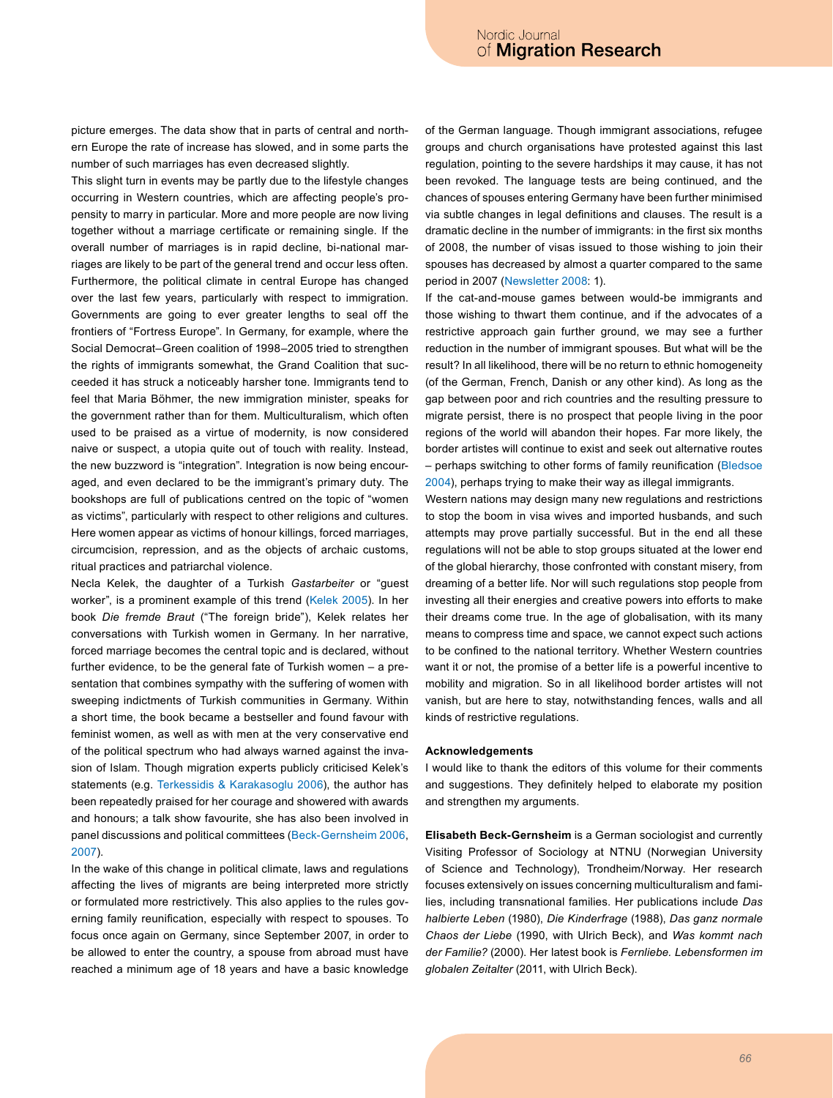picture emerges. The data show that in parts of central and northern Europe the rate of increase has slowed, and in some parts the number of such marriages has even decreased slightly.

This slight turn in events may be partly due to the lifestyle changes occurring in Western countries, which are affecting people's propensity to marry in particular. More and more people are now living together without a marriage certificate or remaining single. If the overall number of marriages is in rapid decline, bi-national marriages are likely to be part of the general trend and occur less often. Furthermore, the political climate in central Europe has changed over the last few years, particularly with respect to immigration. Governments are going to ever greater lengths to seal off the frontiers of "Fortress Europe". In Germany, for example, where the Social Democrat–Green coalition of 1998–2005 tried to strengthen the rights of immigrants somewhat, the Grand Coalition that succeeded it has struck a noticeably harsher tone. Immigrants tend to feel that Maria Böhmer, the new immigration minister, speaks for the government rather than for them. Multiculturalism, which often used to be praised as a virtue of modernity, is now considered naive or suspect, a utopia quite out of touch with reality. Instead, the new buzzword is "integration". Integration is now being encouraged, and even declared to be the immigrant's primary duty. The bookshops are full of publications centred on the topic of "women as victims", particularly with respect to other religions and cultures. Here women appear as victims of honour killings, forced marriages, circumcision, repression, and as the objects of archaic customs, ritual practices and patriarchal violence.

Necla Kelek, the daughter of a Turkish *Gastarbeiter* or "guest worker", is a prominent example of this trend [\(Kelek 2005\)](#page-7-17). In her book *Die fremde Braut* ("The foreign bride"), Kelek relates her conversations with Turkish women in Germany. In her narrative, forced marriage becomes the central topic and is declared, without further evidence, to be the general fate of Turkish women – a presentation that combines sympathy with the suffering of women with sweeping indictments of Turkish communities in Germany. Within a short time, the book became a bestseller and found favour with feminist women, as well as with men at the very conservative end of the political spectrum who had always warned against the invasion of Islam. Though migration experts publicly criticised Kelek's statements (e.g. [Terkessidis & Karakasoglu 2006\)](#page-8-8), the author has been repeatedly praised for her courage and showered with awards and honours; a talk show favourite, she has also been involved in panel discussions and political committees [\(Beck-Gernsheim 2006,](#page-7-18) [2007](#page-7-16)).

In the wake of this change in political climate, laws and regulations affecting the lives of migrants are being interpreted more strictly or formulated more restrictively. This also applies to the rules governing family reunification, especially with respect to spouses. To focus once again on Germany, since September 2007, in order to be allowed to enter the country, a spouse from abroad must have reached a minimum age of 18 years and have a basic knowledge of the German language. Though immigrant associations, refugee groups and church organisations have protested against this last regulation, pointing to the severe hardships it may cause, it has not been revoked. The language tests are being continued, and the chances of spouses entering Germany have been further minimised via subtle changes in legal definitions and clauses. The result is a dramatic decline in the number of immigrants: in the first six months of 2008, the number of visas issued to those wishing to join their spouses has decreased by almost a quarter compared to the same period in 2007 ([Newsletter 2008](#page-7-19): 1).

If the cat-and-mouse games between would-be immigrants and those wishing to thwart them continue, and if the advocates of a restrictive approach gain further ground, we may see a further reduction in the number of immigrant spouses. But what will be the result? In all likelihood, there will be no return to ethnic homogeneity (of the German, French, Danish or any other kind). As long as the gap between poor and rich countries and the resulting pressure to migrate persist, there is no prospect that people living in the poor regions of the world will abandon their hopes. Far more likely, the border artistes will continue to exist and seek out alternative routes – perhaps switching to other forms of family reunification ([Bledsoe](#page-7-4) [2004](#page-7-4)), perhaps trying to make their way as illegal immigrants.

Western nations may design many new regulations and restrictions to stop the boom in visa wives and imported husbands, and such attempts may prove partially successful. But in the end all these regulations will not be able to stop groups situated at the lower end of the global hierarchy, those confronted with constant misery, from dreaming of a better life. Nor will such regulations stop people from investing all their energies and creative powers into efforts to make their dreams come true. In the age of globalisation, with its many means to compress time and space, we cannot expect such actions to be confined to the national territory. Whether Western countries want it or not, the promise of a better life is a powerful incentive to mobility and migration. So in all likelihood border artistes will not vanish, but are here to stay, notwithstanding fences, walls and all kinds of restrictive regulations.

#### **Acknowledgements**

I would like to thank the editors of this volume for their comments and suggestions. They definitely helped to elaborate my position and strengthen my arguments.

**Elisabeth Beck-Gernsheim** is a German sociologist and currently Visiting Professor of Sociology at NTNU (Norwegian University of Science and Technology), Trondheim/Norway. Her research focuses extensively on issues concerning multiculturalism and families, including transnational families. Her publications include *Das halbierte Leben* (1980), *Die Kinderfrage* (1988), *Das ganz normale Chaos der Liebe* (1990, with Ulrich Beck), and *Was kommt nach der Familie?* (2000). Her latest book is *Fernliebe. Lebensformen im globalen Zeitalter* (2011, with Ulrich Beck).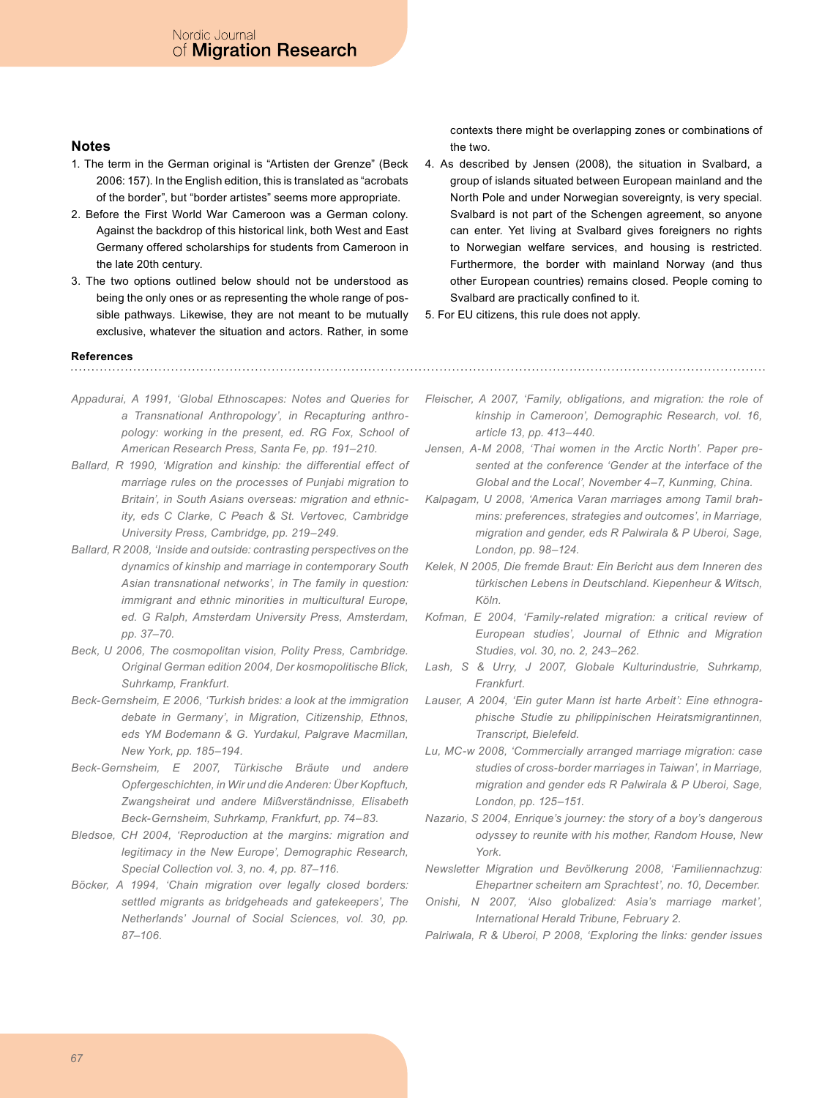#### **Notes**

- <span id="page-7-6"></span>1. The term in the German original is "Artisten der Grenze" (Beck 2006: 157). In the English edition, this is translated as "acrobats of the border", but "border artistes" seems more appropriate.
- 2. Before the First World War Cameroon was a German colony. Against the backdrop of this historical link, both West and East Germany offered scholarships for students from Cameroon in the late 20th century.
- <span id="page-7-9"></span>3. The two options outlined below should not be understood as being the only ones or as representing the whole range of possible pathways. Likewise, they are not meant to be mutually exclusive, whatever the situation and actors. Rather, in some

contexts there might be overlapping zones or combinations of the two.

- 4. As described by Jensen (2008), the situation in Svalbard, a group of islands situated between European mainland and the North Pole and under Norwegian sovereignty, is very special. Svalbard is not part of the Schengen agreement, so anyone can enter. Yet living at Svalbard gives foreigners no rights to Norwegian welfare services, and housing is restricted. Furthermore, the border with mainland Norway (and thus other European countries) remains closed. People coming to Svalbard are practically confined to it.
- 5. For EU citizens, this rule does not apply.

#### **References**

- <span id="page-7-2"></span>*Appadurai, A 1991, 'Global Ethnoscapes: Notes and Queries for a Transnational Anthropology', in Recapturing anthropology: working in the present, ed. RG Fox, School of American Research Press, Santa Fe, pp. 191–210.*
- <span id="page-7-15"></span>*Ballard, R 1990, 'Migration and kinship: the differential effect of marriage rules on the processes of Punjabi migration to Britain', in South Asians overseas: migration and ethnicity, eds C Clarke, C Peach & St. Vertovec, Cambridge University Press, Cambridge, pp. 219–249.*
- <span id="page-7-1"></span>*Ballard, R 2008, 'Inside and outside: contrasting perspectives on the dynamics of kinship and marriage in contemporary South Asian transnational networks', in The family in question: immigrant and ethnic minorities in multicultural Europe, ed. G Ralph, Amsterdam University Press, Amsterdam, pp. 37–70.*
- <span id="page-7-0"></span>*Beck, U 2006, The cosmopolitan vision, Polity Press, Cambridge. Original German edition 2004, Der kosmopolitische Blick, Suhrkamp, Frankfurt.*
- <span id="page-7-18"></span>*Beck-Gernsheim, E 2006, 'Turkish brides: a look at the immigration debate in Germany', in Migration, Citizenship, Ethnos, eds YM Bodemann & G. Yurdakul, Palgrave Macmillan, New York, pp. 185–194.*
- <span id="page-7-16"></span>*Beck-Gernsheim, E 2007, Türkische Bräute und andere Opfergeschichten, in Wir und die Anderen: Über Kopftuch, Zwangsheirat und andere Mißverständnisse, Elisabeth Beck-Gernsheim, Suhrkamp, Frankfurt, pp. 74–83.*
- <span id="page-7-4"></span>*Bledsoe, CH 2004, 'Reproduction at the margins: migration and legitimacy in the New Europe', Demographic Research, Special Collection vol. 3, no. 4, pp. 87–116.*
- *Böcker, A 1994, 'Chain migration over legally closed borders: settled migrants as bridgeheads and gatekeepers', The Netherlands' Journal of Social Sciences, vol. 30, pp. 87–106.*
- <span id="page-7-7"></span>*Fleischer, A 2007, 'Family, obligations, and migration: the role of kinship in Cameroon', Demographic Research, vol. 16, article 13, pp. 413–440.*
- <span id="page-7-13"></span>*Jensen, A-M 2008, 'Thai women in the Arctic North'. Paper presented at the conference 'Gender at the interface of the Global and the Local', November 4–7, Kunming, China.*
- <span id="page-7-12"></span>*Kalpagam, U 2008, 'America Varan marriages among Tamil brahmins: preferences, strategies and outcomes', in Marriage, migration and gender, eds R Palwirala & P Uberoi, Sage, London, pp. 98–124.*
- <span id="page-7-17"></span>*Kelek, N 2005, Die fremde Braut: Ein Bericht aus dem Inneren des türkischen Lebens in Deutschland. Kiepenheur & Witsch, Köln.*
- <span id="page-7-8"></span>*Kofman, E 2004, 'Family-related migration: a critical review of European studies', Journal of Ethnic and Migration Studies, vol. 30, no. 2, 243–262.*
- <span id="page-7-3"></span>*Lash, S & Urry, J 2007, Globale Kulturindustrie, Suhrkamp, Frankfurt.*
- <span id="page-7-14"></span>*Lauser, A 2004, 'Ein guter Mann ist harte Arbeit': Eine ethnographische Studie zu philippinischen Heiratsmigrantinnen, Transcript, Bielefeld.*
- <span id="page-7-10"></span>*Lu, MC-w 2008, 'Commercially arranged marriage migration: case studies of cross-border marriages in Taiwan', in Marriage, migration and gender eds R Palwirala & P Uberoi, Sage, London, pp. 125–151.*
- *Nazario, S 2004, Enrique's journey: the story of a boy's dangerous odyssey to reunite with his mother, Random House, New York.*
- <span id="page-7-19"></span>*Newsletter Migration und Bevölkerung 2008, 'Familiennachzug: Ehepartner scheitern am Sprachtest', no. 10, December.*
- <span id="page-7-11"></span>*Onishi, N 2007, 'Also globalized: Asia's marriage market', International Herald Tribune, February 2.*
- <span id="page-7-5"></span>*Palriwala, R & Uberoi, P 2008, 'Exploring the links: gender issues*